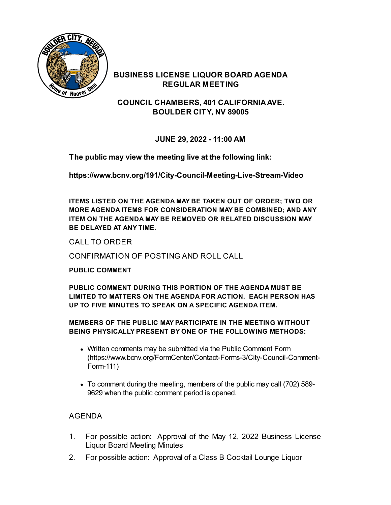

## **BUSINESS LICENSE LIQUOR BOARD AGENDA REGULAR MEETING**

**COUNCIL CHAMBERS, 401 CALIFORNIAAVE. BOULDER CITY, NV 89005**

**JUNE 29, 2022 - 11:00 AM**

**The public may view the meeting live at the following link:**

**<https://www.bcnv.org/191/City-Council-Meeting-Live-Stream-Video>**

**ITEMS LISTED ON THE AGENDA MAY BE TAKEN OUT OF ORDER; TWO OR MORE AGENDA ITEMS FOR CONSIDERATION MAY BE COMBINED; AND ANY ITEM ON THE AGENDA MAY BE REMOVED OR RELATED DISCUSSION MAY BE DELAYED AT ANY TIME.**

CALL TO ORDER

CONFIRMATION OF POSTING AND ROLL CALL

### **PUBLIC COMMENT**

**PUBLIC COMMENT DURING THIS PORTION OF THE AGENDA MUST BE LIMITED TO MATTERS ON THE AGENDA FOR ACTION. EACH PERSON HAS UP TO FIVE MINUTES TO SPEAK ON A SPECIFIC AGENDA ITEM.**

### **MEMBERS OF THE PUBLIC MAY PARTICIPATE IN THE MEETING WITHOUT BEING PHYSICALLY PRESENT BY ONE OF THE FOLLOWING METHODS:**

- Written comments may be submitted via the Public Comment Form [\(https://www.bcnv.org/FormCenter/Contact-Forms-3/City-Council-Comment-](https://www.bcnv.org/FormCenter/Contact-Forms-3/City-Council-Comment-Form-111)Form-111)
- To comment during the meeting, members of the public may call (702) 589- 9629 when the public comment period is opened.

# AGENDA

- 1. For possible action: Approval of the May 12, 2022 [Business](file:///C:/Windows/TEMP/CoverSheet.aspx?ItemID=5185&MeetingID=1161) License Liquor Board Meeting Minutes
- 2. For possible action: Approval of a Class B Cocktail Lounge Liquor